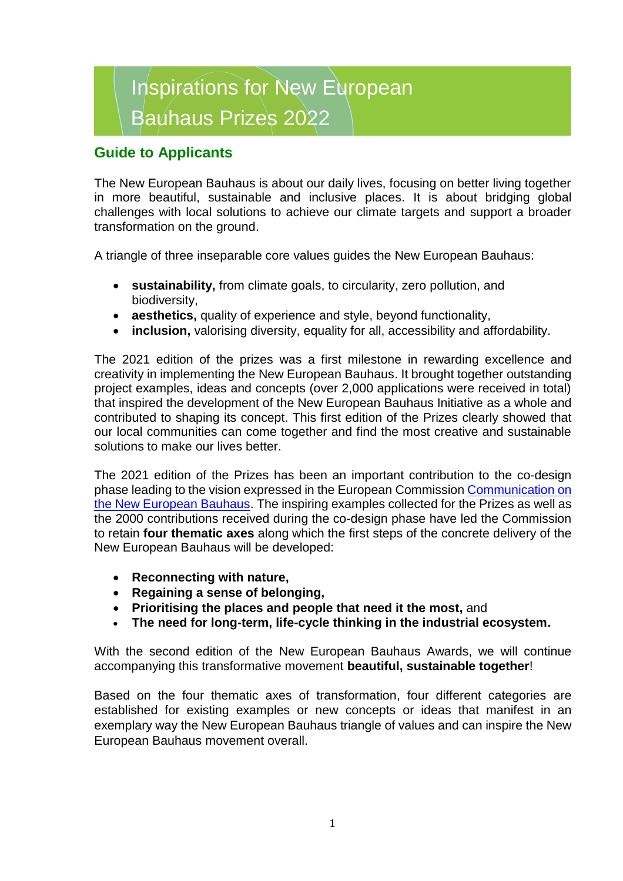# Inspirations for New European Bauhaus Prizes 2022

## **Guide to Applicants**

The New European Bauhaus is about our daily lives, focusing on better living together in more beautiful, sustainable and inclusive places. It is about bridging global challenges with local solutions to achieve our climate targets and support a broader transformation on the ground.

A triangle of three inseparable core values guides the New European Bauhaus:

- **sustainability,** from climate goals, to circularity, zero pollution, and biodiversity,
- **aesthetics,** quality of experience and style, beyond functionality,
- **inclusion,** valorising diversity, equality for all, accessibility and affordability.

The 2021 edition of the prizes was a first milestone in rewarding excellence and creativity in implementing the New European Bauhaus. It brought together outstanding project examples, ideas and concepts (over 2,000 applications were received in total) that inspired the development of the New European Bauhaus Initiative as a whole and contributed to shaping its concept. This first edition of the Prizes clearly showed that our local communities can come together and find the most creative and sustainable solutions to make our lives better.

The 2021 edition of the Prizes has been an important contribution to the co-design phase leading to the vision expressed in the European Commission [Communication](https://europa.eu/new-european-bauhaus/system/files/2021-09/COM%282021%29_573_EN_ACT.pdf) on the New European Bauhaus. The inspiring examples collected for the Prizes as well as the 2000 contributions received during the co-design phase have led the Commission to retain **four thematic axes** along which the first steps of the concrete delivery of the New European Bauhaus will be developed:

- **Reconnecting with nature,**
- **Regaining a sense of belonging,**
- **Prioritising the places and people that need it the most,** and
- **The need for long-term, life-cycle thinking in the industrial ecosystem.**

With the second edition of the New European Bauhaus Awards, we will continue accompanying this transformative movement **beautiful, sustainable together**!

Based on the four thematic axes of transformation, four different categories are established for existing examples or new concepts or ideas that manifest in an exemplary way the New European Bauhaus triangle of values and can inspire the New European Bauhaus movement overall.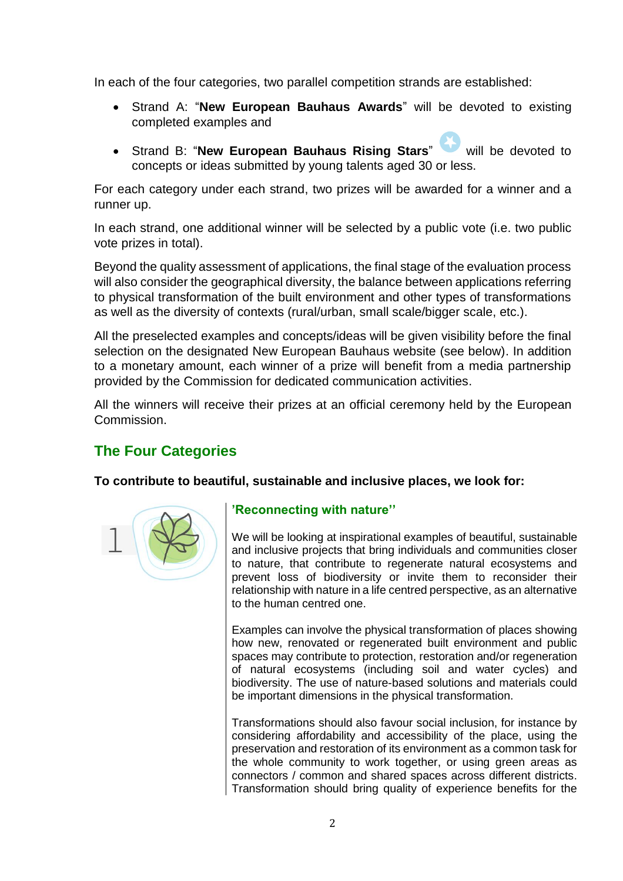In each of the four categories, two parallel competition strands are established:

- Strand A: "**New European Bauhaus Awards**" will be devoted to existing completed examples and
- Strand B: "**New European Bauhaus Rising Stars**" will be devoted to concepts or ideas submitted by young talents aged 30 or less.

For each category under each strand, two prizes will be awarded for a winner and a runner up.

In each strand, one additional winner will be selected by a public vote (i.e. two public vote prizes in total).

Beyond the quality assessment of applications, the final stage of the evaluation process will also consider the geographical diversity, the balance between applications referring to physical transformation of the built environment and other types of transformations as well as the diversity of contexts (rural/urban, small scale/bigger scale, etc.).

All the preselected examples and concepts/ideas will be given visibility before the final selection on the designated New European Bauhaus website (see below). In addition to a monetary amount, each winner of a prize will benefit from a media partnership provided by the Commission for dedicated communication activities.

All the winners will receive their prizes at an official ceremony held by the European Commission.

# **The Four Categories**

**To contribute to beautiful, sustainable and inclusive places, we look for:**



## **'Reconnecting with nature''**

We will be looking at inspirational examples of beautiful, sustainable and inclusive projects that bring individuals and communities closer to nature, that contribute to regenerate natural ecosystems and prevent loss of biodiversity or invite them to reconsider their relationship with nature in a life centred perspective, as an alternative to the human centred one.

Examples can involve the physical transformation of places showing how new, renovated or regenerated built environment and public spaces may contribute to protection, restoration and/or regeneration of natural ecosystems (including soil and water cycles) and biodiversity. The use of nature-based solutions and materials could be important dimensions in the physical transformation.

Transformations should also favour social inclusion, for instance by considering affordability and accessibility of the place, using the preservation and restoration of its environment as a common task for the whole community to work together, or using green areas as connectors / common and shared spaces across different districts. Transformation should bring quality of experience benefits for the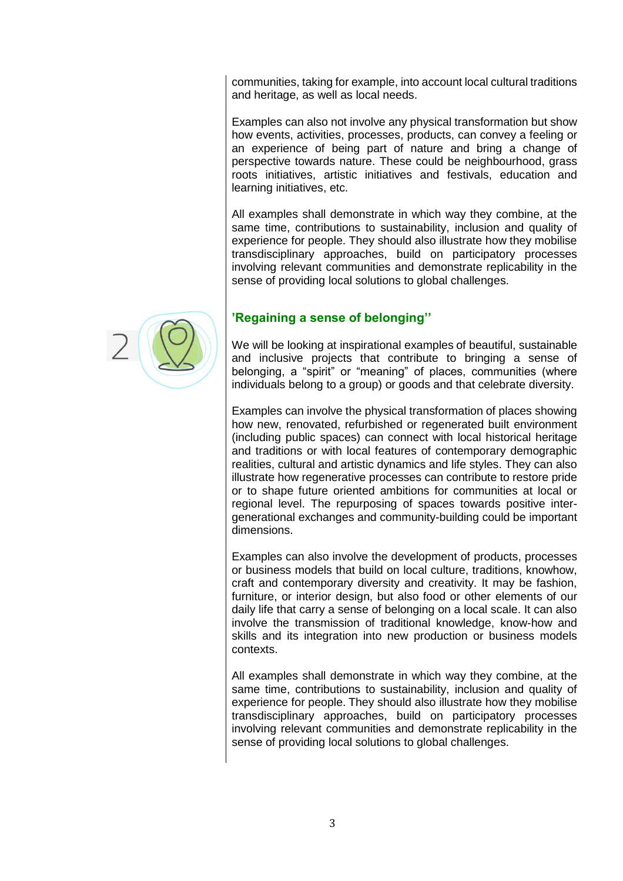communities, taking for example, into account local cultural traditions and heritage, as well as local needs.

Examples can also not involve any physical transformation but show how events, activities, processes, products, can convey a feeling or an experience of being part of nature and bring a change of perspective towards nature. These could be neighbourhood, grass roots initiatives, artistic initiatives and festivals, education and learning initiatives, etc.

All examples shall demonstrate in which way they combine, at the same time, contributions to sustainability, inclusion and quality of experience for people. They should also illustrate how they mobilise transdisciplinary approaches, build on participatory processes involving relevant communities and demonstrate replicability in the sense of providing local solutions to global challenges.



We will be looking at inspirational examples of beautiful, sustainable and inclusive projects that contribute to bringing a sense of belonging, a "spirit" or "meaning" of places, communities (where individuals belong to a group) or goods and that celebrate diversity.

Examples can involve the physical transformation of places showing how new, renovated, refurbished or regenerated built environment (including public spaces) can connect with local historical heritage and traditions or with local features of contemporary demographic realities, cultural and artistic dynamics and life styles. They can also illustrate how regenerative processes can contribute to restore pride or to shape future oriented ambitions for communities at local or regional level. The repurposing of spaces towards positive intergenerational exchanges and community-building could be important dimensions.

Examples can also involve the development of products, processes or business models that build on local culture, traditions, knowhow, craft and contemporary diversity and creativity. It may be fashion, furniture, or interior design, but also food or other elements of our daily life that carry a sense of belonging on a local scale. It can also involve the transmission of traditional knowledge, know-how and skills and its integration into new production or business models contexts.

All examples shall demonstrate in which way they combine, at the same time, contributions to sustainability, inclusion and quality of experience for people. They should also illustrate how they mobilise transdisciplinary approaches, build on participatory processes involving relevant communities and demonstrate replicability in the sense of providing local solutions to global challenges.

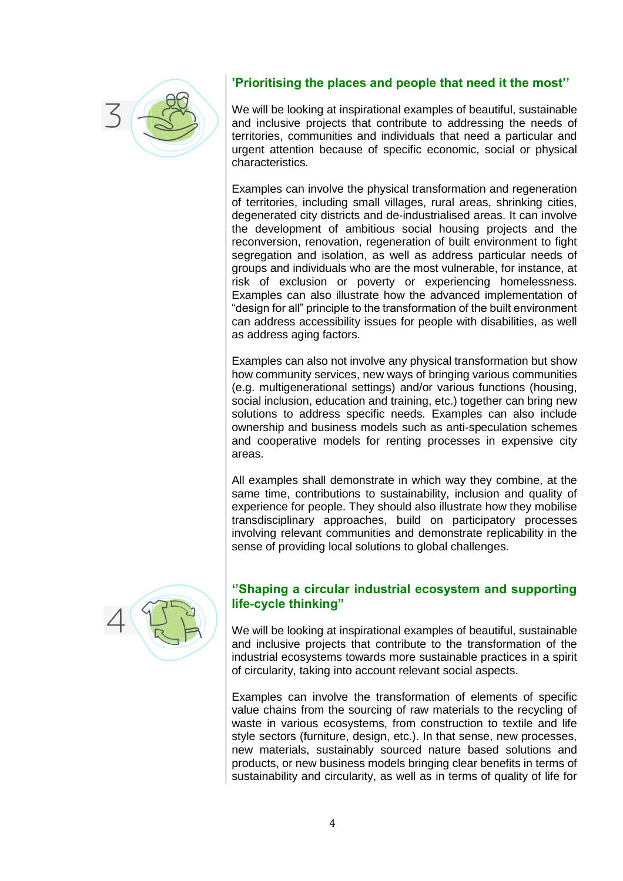

## **'Prioritising the places and people that need it the most''**

We will be looking at inspirational examples of beautiful, sustainable and inclusive projects that contribute to addressing the needs of territories, communities and individuals that need a particular and urgent attention because of specific economic, social or physical characteristics.

Examples can involve the physical transformation and regeneration of territories, including small villages, rural areas, shrinking cities, degenerated city districts and de-industrialised areas. It can involve the development of ambitious social housing projects and the reconversion, renovation, regeneration of built environment to fight segregation and isolation, as well as address particular needs of groups and individuals who are the most vulnerable, for instance, at risk of exclusion or poverty or experiencing homelessness. Examples can also illustrate how the advanced implementation of "design for all" principle to the transformation of the built environment can address accessibility issues for people with disabilities, as well as address aging factors.

Examples can also not involve any physical transformation but show how community services, new ways of bringing various communities (e.g. multigenerational settings) and/or various functions (housing, social inclusion, education and training, etc.) together can bring new solutions to address specific needs. Examples can also include ownership and business models such as anti-speculation schemes and cooperative models for renting processes in expensive city areas.

All examples shall demonstrate in which way they combine, at the same time, contributions to sustainability, inclusion and quality of experience for people. They should also illustrate how they mobilise transdisciplinary approaches, build on participatory processes involving relevant communities and demonstrate replicability in the sense of providing local solutions to global challenges.



#### **''Shaping a circular industrial ecosystem and supporting life-cycle thinking"**

We will be looking at inspirational examples of beautiful, sustainable and inclusive projects that contribute to the transformation of the industrial ecosystems towards more sustainable practices in a spirit of circularity, taking into account relevant social aspects.

Examples can involve the transformation of elements of specific value chains from the sourcing of raw materials to the recycling of waste in various ecosystems, from construction to textile and life style sectors (furniture, design, etc.). In that sense, new processes, new materials, sustainably sourced nature based solutions and products, or new business models bringing clear benefits in terms of sustainability and circularity, as well as in terms of quality of life for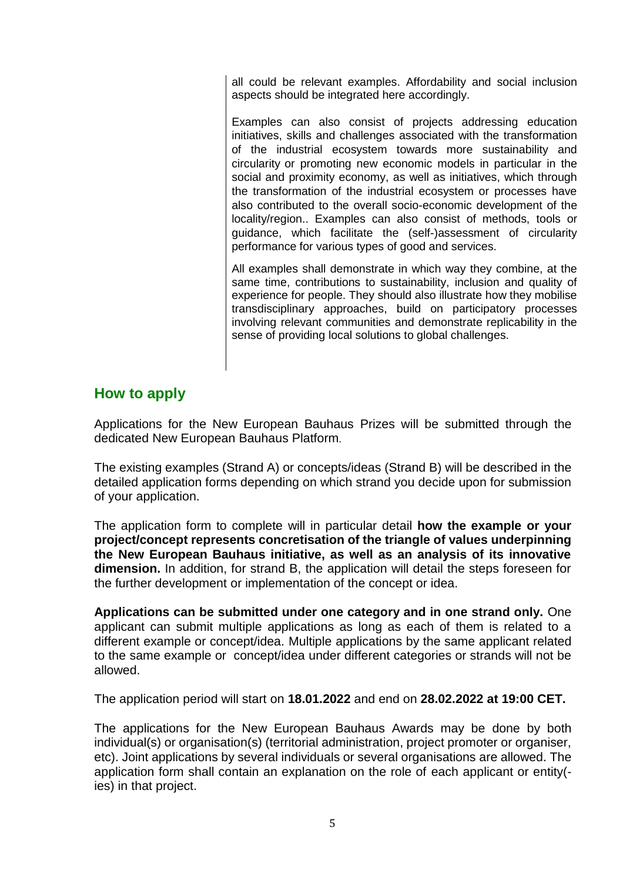all could be relevant examples. Affordability and social inclusion aspects should be integrated here accordingly.

Examples can also consist of projects addressing education initiatives, skills and challenges associated with the transformation of the industrial ecosystem towards more sustainability and circularity or promoting new economic models in particular in the social and proximity economy, as well as initiatives, which through the transformation of the industrial ecosystem or processes have also contributed to the overall socio-economic development of the locality/region.. Examples can also consist of methods, tools or guidance, which facilitate the (self-)assessment of circularity performance for various types of good and services.

All examples shall demonstrate in which way they combine, at the same time, contributions to sustainability, inclusion and quality of experience for people. They should also illustrate how they mobilise transdisciplinary approaches, build on participatory processes involving relevant communities and demonstrate replicability in the sense of providing local solutions to global challenges.

## **How to apply**

Applications for the New European Bauhaus Prizes will be submitted through the dedicated New European Bauhaus Platform.

The existing examples (Strand A) or concepts/ideas (Strand B) will be described in the detailed application forms depending on which strand you decide upon for submission of your application.

The application form to complete will in particular detail **how the example or your project/concept represents concretisation of the triangle of values underpinning the New European Bauhaus initiative, as well as an analysis of its innovative dimension.** In addition, for strand B, the application will detail the steps foreseen for the further development or implementation of the concept or idea.

**Applications can be submitted under one category and in one strand only.** One applicant can submit multiple applications as long as each of them is related to a different example or concept/idea. Multiple applications by the same applicant related to the same example or concept/idea under different categories or strands will not be allowed.

The application period will start on **18.01.2022** and end on **28.02.2022 at 19:00 CET.**

The applications for the New European Bauhaus Awards may be done by both individual(s) or organisation(s) (territorial administration, project promoter or organiser, etc). Joint applications by several individuals or several organisations are allowed. The application form shall contain an explanation on the role of each applicant or entity( ies) in that project.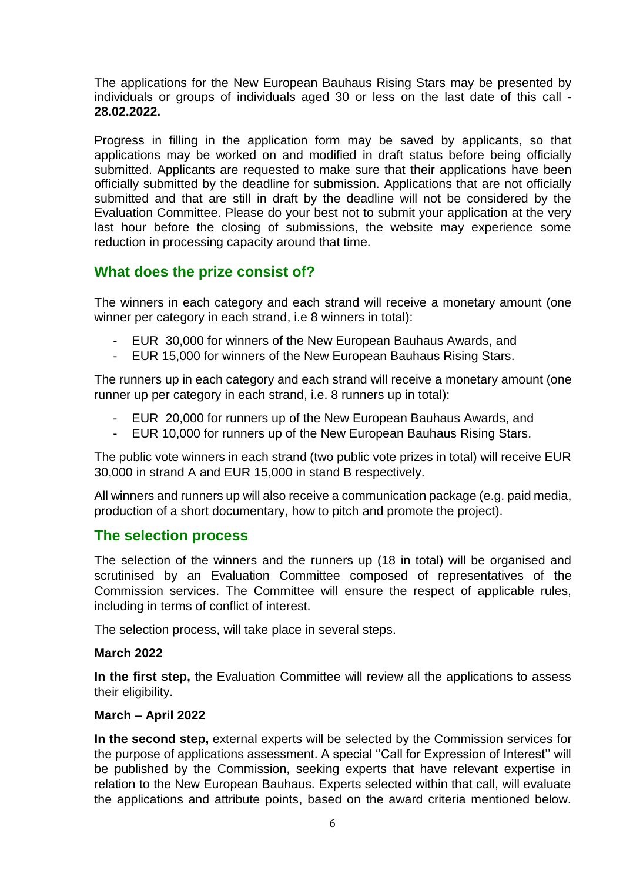The applications for the New European Bauhaus Rising Stars may be presented by individuals or groups of individuals aged 30 or less on the last date of this call - **28.02.2022.**

Progress in filling in the application form may be saved by applicants, so that applications may be worked on and modified in draft status before being officially submitted. Applicants are requested to make sure that their applications have been officially submitted by the deadline for submission. Applications that are not officially submitted and that are still in draft by the deadline will not be considered by the Evaluation Committee. Please do your best not to submit your application at the very last hour before the closing of submissions, the website may experience some reduction in processing capacity around that time.

## **What does the prize consist of?**

The winners in each category and each strand will receive a monetary amount (one winner per category in each strand, i.e 8 winners in total):

- EUR 30,000 for winners of the New European Bauhaus Awards, and
- EUR 15,000 for winners of the New European Bauhaus Rising Stars.

The runners up in each category and each strand will receive a monetary amount (one runner up per category in each strand, i.e. 8 runners up in total):

- EUR 20,000 for runners up of the New European Bauhaus Awards, and
- EUR 10,000 for runners up of the New European Bauhaus Rising Stars.

The public vote winners in each strand (two public vote prizes in total) will receive EUR 30,000 in strand A and EUR 15,000 in stand B respectively.

All winners and runners up will also receive a communication package (e.g. paid media, production of a short documentary, how to pitch and promote the project).

## **The selection process**

The selection of the winners and the runners up (18 in total) will be organised and scrutinised by an Evaluation Committee composed of representatives of the Commission services. The Committee will ensure the respect of applicable rules, including in terms of conflict of interest.

The selection process, will take place in several steps.

#### **March 2022**

**In the first step,** the Evaluation Committee will review all the applications to assess their eligibility.

#### **March – April 2022**

**In the second step,** external experts will be selected by the Commission services for the purpose of applications assessment. A special ''Call for Expression of Interest'' will be published by the Commission, seeking experts that have relevant expertise in relation to the New European Bauhaus. Experts selected within that call, will evaluate the applications and attribute points, based on the award criteria mentioned below.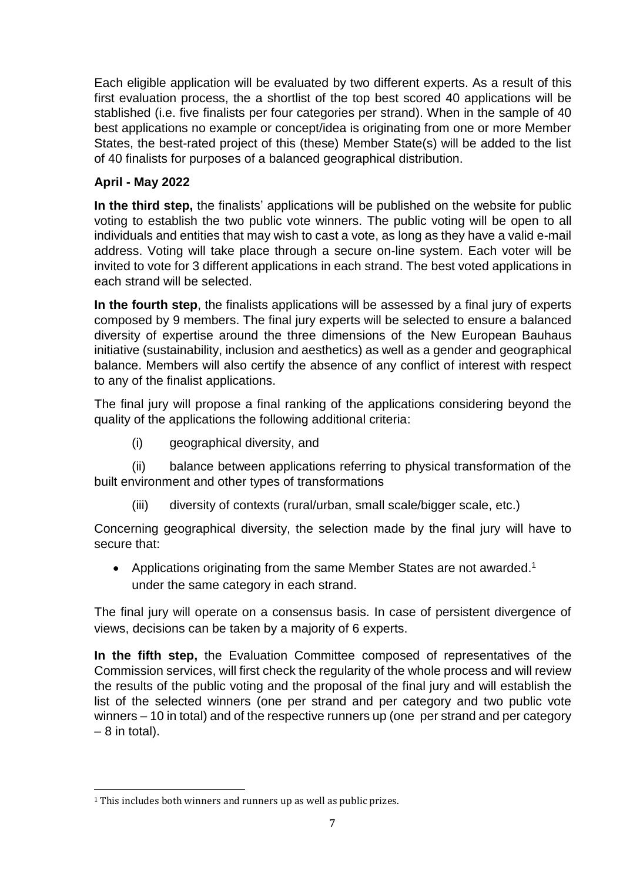Each eligible application will be evaluated by two different experts. As a result of this first evaluation process, the a shortlist of the top best scored 40 applications will be stablished (i.e. five finalists per four categories per strand). When in the sample of 40 best applications no example or concept/idea is originating from one or more Member States, the best-rated project of this (these) Member State(s) will be added to the list of 40 finalists for purposes of a balanced geographical distribution.

## **April - May 2022**

**In the third step,** the finalists' applications will be published on the website for public voting to establish the two public vote winners. The public voting will be open to all individuals and entities that may wish to cast a vote, as long as they have a valid e-mail address. Voting will take place through a secure on-line system. Each voter will be invited to vote for 3 different applications in each strand. The best voted applications in each strand will be selected.

**In the fourth step**, the finalists applications will be assessed by a final jury of experts composed by 9 members. The final jury experts will be selected to ensure a balanced diversity of expertise around the three dimensions of the New European Bauhaus initiative (sustainability, inclusion and aesthetics) as well as a gender and geographical balance. Members will also certify the absence of any conflict of interest with respect to any of the finalist applications.

The final jury will propose a final ranking of the applications considering beyond the quality of the applications the following additional criteria:

(i) geographical diversity, and

(ii) balance between applications referring to physical transformation of the built environment and other types of transformations

(iii) diversity of contexts (rural/urban, small scale/bigger scale, etc.)

Concerning geographical diversity, the selection made by the final jury will have to secure that:

• Applications originating from the same Member States are not awarded.<sup>1</sup> under the same category in each strand.

The final jury will operate on a consensus basis. In case of persistent divergence of views, decisions can be taken by a majority of 6 experts.

**In the fifth step,** the Evaluation Committee composed of representatives of the Commission services, will first check the regularity of the whole process and will review the results of the public voting and the proposal of the final jury and will establish the list of the selected winners (one per strand and per category and two public vote winners – 10 in total) and of the respective runners up (one per strand and per category  $-8$  in total).

l

<sup>&</sup>lt;sup>1</sup> This includes both winners and runners up as well as public prizes.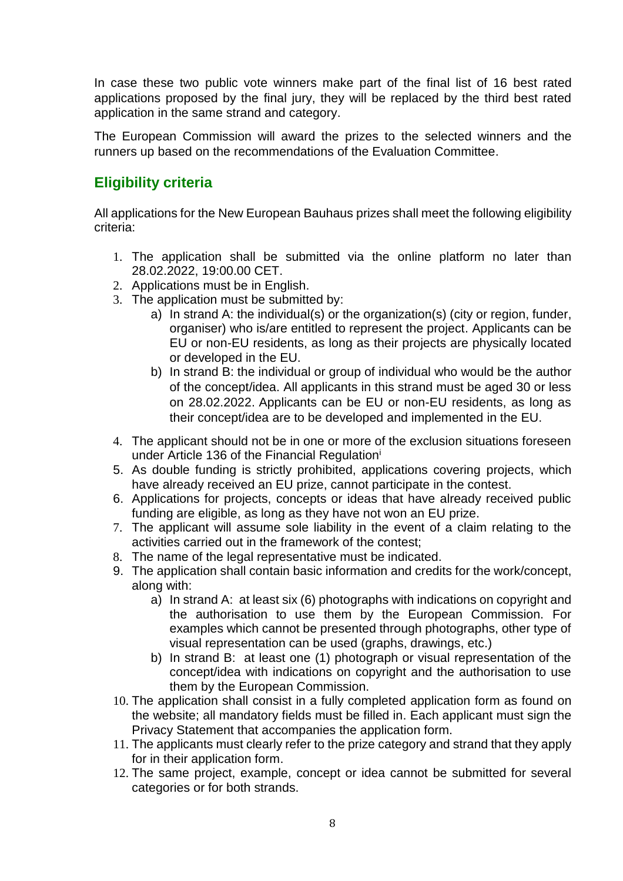In case these two public vote winners make part of the final list of 16 best rated applications proposed by the final jury, they will be replaced by the third best rated application in the same strand and category.

The European Commission will award the prizes to the selected winners and the runners up based on the recommendations of the Evaluation Committee.

## **Eligibility criteria**

All applications for the New European Bauhaus prizes shall meet the following eligibility criteria:

- 1. The application shall be submitted via the online platform no later than 28.02.2022, 19:00.00 CET.
- 2. Applications must be in English.
- 3. The application must be submitted by:
	- a) In strand A: the individual(s) or the organization(s) (city or region, funder, organiser) who is/are entitled to represent the project. Applicants can be EU or non-EU residents, as long as their projects are physically located or developed in the EU.
	- b) In strand B: the individual or group of individual who would be the author of the concept/idea. All applicants in this strand must be aged 30 or less on 28.02.2022. Applicants can be EU or non-EU residents, as long as their concept/idea are to be developed and implemented in the EU.
- 4. The applicant should not be in one or more of the exclusion situations foreseen under Article 136 of the Financial Regulation<sup>i</sup>
- 5. As double funding is strictly prohibited, applications covering projects, which have already received an EU prize, cannot participate in the contest.
- 6. Applications for projects, concepts or ideas that have already received public funding are eligible, as long as they have not won an EU prize.
- 7. The applicant will assume sole liability in the event of a claim relating to the activities carried out in the framework of the contest;
- 8. The name of the legal representative must be indicated.
- 9. The application shall contain basic information and credits for the work/concept, along with:
	- a) In strand A: at least six (6) photographs with indications on copyright and the authorisation to use them by the European Commission. For examples which cannot be presented through photographs, other type of visual representation can be used (graphs, drawings, etc.)
	- b) In strand B: at least one (1) photograph or visual representation of the concept/idea with indications on copyright and the authorisation to use them by the European Commission.
- 10. The application shall consist in a fully completed application form as found on the website; all mandatory fields must be filled in. Each applicant must sign the Privacy Statement that accompanies the application form.
- 11. The applicants must clearly refer to the prize category and strand that they apply for in their application form.
- 12. The same project, example, concept or idea cannot be submitted for several categories or for both strands.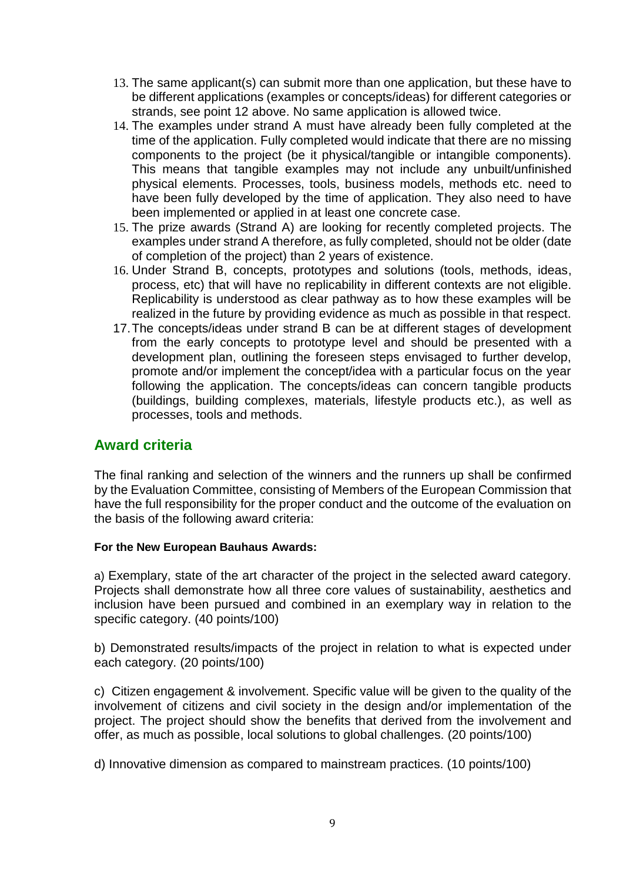- 13. The same applicant(s) can submit more than one application, but these have to be different applications (examples or concepts/ideas) for different categories or strands, see point 12 above. No same application is allowed twice.
- 14. The examples under strand A must have already been fully completed at the time of the application. Fully completed would indicate that there are no missing components to the project (be it physical/tangible or intangible components). This means that tangible examples may not include any unbuilt/unfinished physical elements. Processes, tools, business models, methods etc. need to have been fully developed by the time of application. They also need to have been implemented or applied in at least one concrete case.
- 15. The prize awards (Strand A) are looking for recently completed projects. The examples under strand A therefore, as fully completed, should not be older (date of completion of the project) than 2 years of existence.
- 16. Under Strand B, concepts, prototypes and solutions (tools, methods, ideas, process, etc) that will have no replicability in different contexts are not eligible. Replicability is understood as clear pathway as to how these examples will be realized in the future by providing evidence as much as possible in that respect.
- 17.The concepts/ideas under strand B can be at different stages of development from the early concepts to prototype level and should be presented with a development plan, outlining the foreseen steps envisaged to further develop, promote and/or implement the concept/idea with a particular focus on the year following the application. The concepts/ideas can concern tangible products (buildings, building complexes, materials, lifestyle products etc.), as well as processes, tools and methods.

## **Award criteria**

The final ranking and selection of the winners and the runners up shall be confirmed by the Evaluation Committee, consisting of Members of the European Commission that have the full responsibility for the proper conduct and the outcome of the evaluation on the basis of the following award criteria:

#### **For the New European Bauhaus Awards:**

a) Exemplary, state of the art character of the project in the selected award category. Projects shall demonstrate how all three core values of sustainability, aesthetics and inclusion have been pursued and combined in an exemplary way in relation to the specific category. (40 points/100)

b) Demonstrated results/impacts of the project in relation to what is expected under each category. (20 points/100)

c) Citizen engagement & involvement. Specific value will be given to the quality of the involvement of citizens and civil society in the design and/or implementation of the project. The project should show the benefits that derived from the involvement and offer, as much as possible, local solutions to global challenges. (20 points/100)

d) Innovative dimension as compared to mainstream practices. (10 points/100)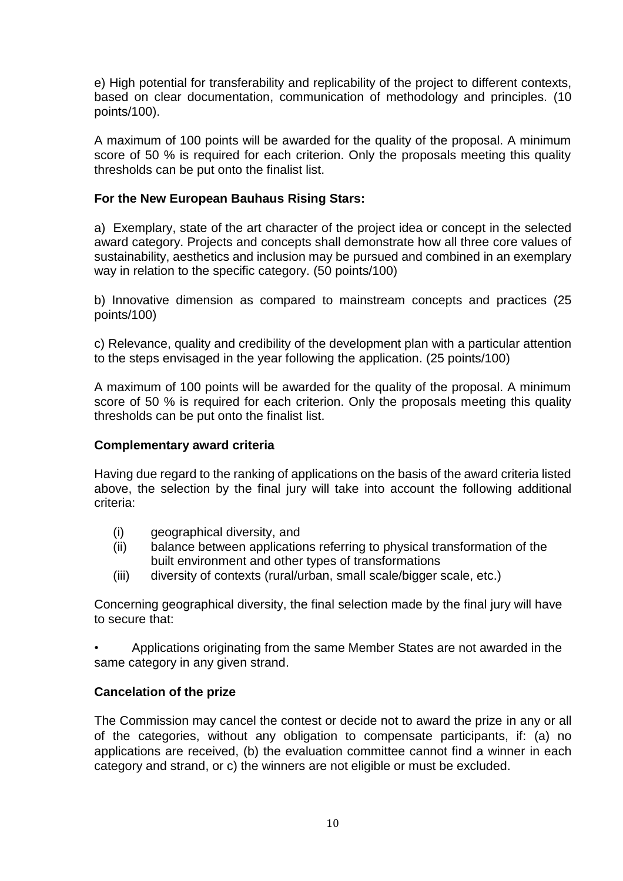e) High potential for transferability and replicability of the project to different contexts, based on clear documentation, communication of methodology and principles. (10 points/100).

A maximum of 100 points will be awarded for the quality of the proposal. A minimum score of 50 % is required for each criterion. Only the proposals meeting this quality thresholds can be put onto the finalist list.

#### **For the New European Bauhaus Rising Stars:**

a) Exemplary, state of the art character of the project idea or concept in the selected award category. Projects and concepts shall demonstrate how all three core values of sustainability, aesthetics and inclusion may be pursued and combined in an exemplary way in relation to the specific category. (50 points/100)

b) Innovative dimension as compared to mainstream concepts and practices (25 points/100)

c) Relevance, quality and credibility of the development plan with a particular attention to the steps envisaged in the year following the application. (25 points/100)

A maximum of 100 points will be awarded for the quality of the proposal. A minimum score of 50 % is required for each criterion. Only the proposals meeting this quality thresholds can be put onto the finalist list.

#### **Complementary award criteria**

Having due regard to the ranking of applications on the basis of the award criteria listed above, the selection by the final jury will take into account the following additional criteria:

- (i) geographical diversity, and
- (ii) balance between applications referring to physical transformation of the built environment and other types of transformations
- (iii) diversity of contexts (rural/urban, small scale/bigger scale, etc.)

Concerning geographical diversity, the final selection made by the final jury will have to secure that:

• Applications originating from the same Member States are not awarded in the same category in any given strand.

#### **Cancelation of the prize**

The Commission may cancel the contest or decide not to award the prize in any or all of the categories, without any obligation to compensate participants, if: (a) no applications are received, (b) the evaluation committee cannot find a winner in each category and strand, or c) the winners are not eligible or must be excluded.